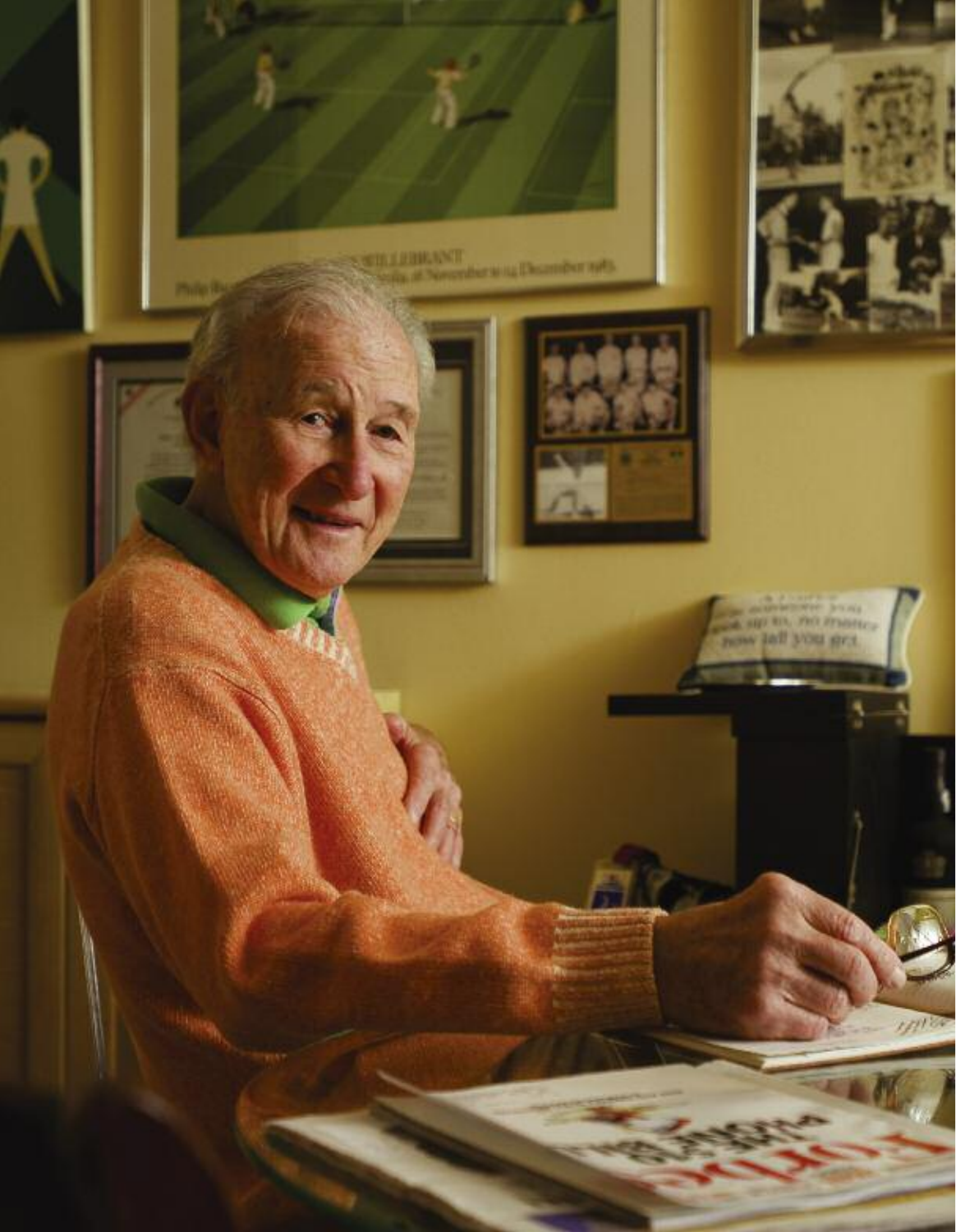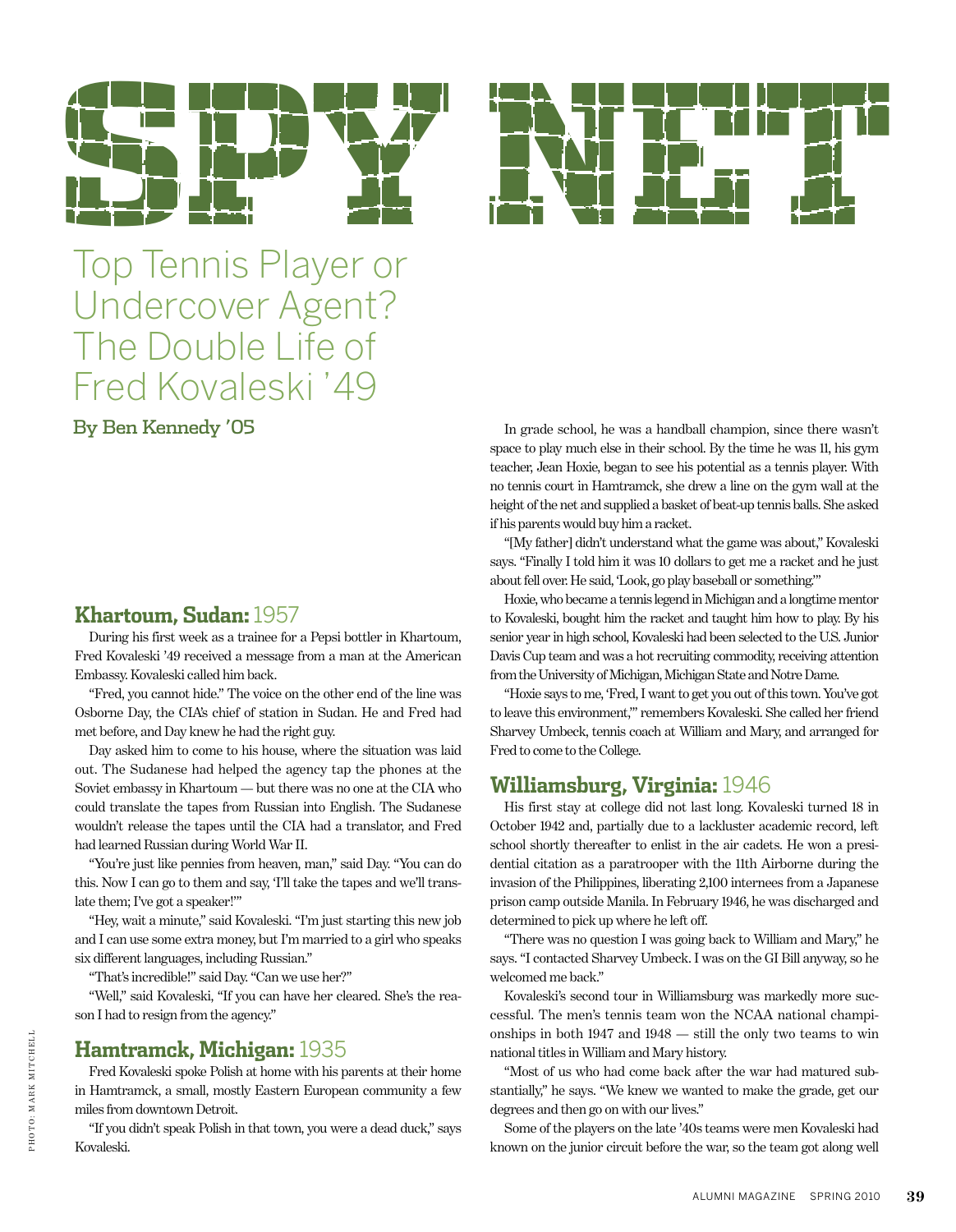



# Top Tennis Player or Undercover Agent? The Double Life of Fred Kovaleski '49

By Ben Kennedy '05

# **Khartoum, Sudan:** 1957

During his first week as a trainee for a Pepsi bottler in Khartoum, Fred Kovaleski '49 received a message from a man at the American Embassy.Kovaleski called him back.

"Fred, you cannot hide." The voice on the other end of the line was Osborne Day, the CIA's chief of station in Sudan. He and Fred had met before, and Day knew he had the right guy.

Day asked him to come to his house, where the situation was laid out. The Sudanese had helped the agency tap the phones at the Soviet embassy in Khartoum — but there was no one at the CIA who could translate the tapes from Russian into English. The Sudanese wouldn't release the tapes until the CIA had a translator, and Fred had learned Russian during World War II.

"You're just like pennies from heaven, man," said Day. "You can do this. Now I can go to them and say, 'I'll take the tapes and we'll translate them; I've got a speaker!""

"Hey, wait a minute," said Kovaleski. "I'm just starting this new job and I can use some extra money, but I'm married to a girl who speaks six different languages, including Russian."

"That's incredible!" saidDay. "Can we use her?"

"Well," said Kovaleski, "If you can have her cleared. She's the reason I had to resign from the agency."

## **Hamtramck, Michigan:** 1935

Fred Kovaleski spoke Polish at home with his parents at their home in Hamtramck, a small, mostly Eastern European community a few miles from downtown Detroit.

"If you didn't speak Polish in that town, you were a dead duck," says Kovaleski.

In grade school, he was a handball champion, since there wasn't space to play much else in their school. By the time he was 11, his gym teacher, Jean Hoxie, began to see his potential as a tennis player. With no tennis court in Hamtramck, she drew a line on the gym wall at the height of the net and supplied a basket of beat-up tennis balls. She asked if his parents would buy him a racket.

"[My father] didn't understand what the game was about," Kovaleski says. "Finally I told him it was 10 dollars to get me a racket and he just about fell over. He said, 'Look, go play baseball or something.""

Hoxie,who became a tennis legend inMichigan and a longtime mentor to Kovaleski, bought him the racket and taught him how to play. By his senior year in high school, Kovaleski had been selected to the U.S. Junior Davis Cup team and was a hot recruiting commodity, receiving attention from the University of Michigan, Michigan State and Notre Dame.

"Hoxie says to me, 'Fred, I want to get you out of this town. You've got to leave this environment,'" remembers Kovaleski. She called her friend Sharvey Umbeck, tennis coach at William and Mary, and arranged for Fred to come to the College.

## **Williamsburg, Virginia:** 1946

His first stay at college did not last long. Kovaleski turned 18 in October 1942 and, partially due to a lackluster academic record, left school shortly thereafter to enlist in the air cadets. He won a presidential citation as a paratrooper with the 11th Airborne during the invasion of the Philippines, liberating 2,100 internees from a Japanese prison camp outside Manila. In February 1946, he was discharged and determined to pick up where he left off.

"There was no question I was going back to William and Mary," he says. "I contacted Sharvey Umbeck. I was on the GI Bill anyway, so he welcomed me back."

Kovaleski's second tour in Williamsburg was markedly more successful. The men's tennis team won the NCAA national championships in both 1947 and 1948 — still the only two teams to win national titles in William and Mary history.

"Most of us who had come back after the war had matured substantially," he says. "We knew we wanted to make the grade, get our degrees and then go on with our lives."

Some of the players on the late '40s teams were men Kovaleski had known on the junior circuit before the war, so the team got along well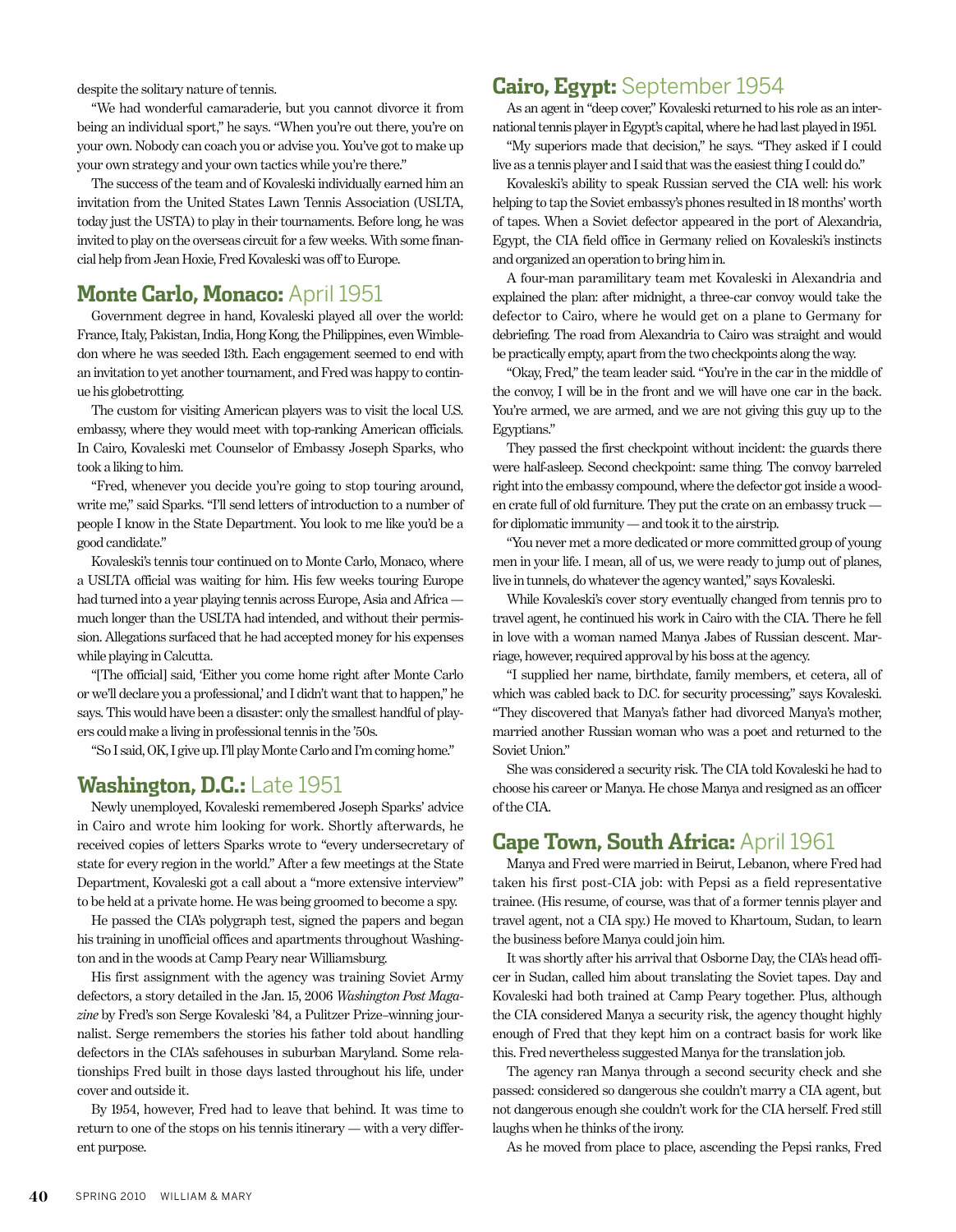despite the solitary nature of tennis.

"We had wonderful camaraderie, but you cannot divorce it from being an individual sport," he says. "When you're out there, you're on your own. Nobody can coach you or advise you. You've got to make up your own strategy and your own tactics while you're there."

The success of the team and of Kovaleski individually earned him an invitation from the United States Lawn Tennis Association (USLTA, today just the USTA) to play in their tournaments. Before long, he was invited to play on the overseas circuit for a few weeks. With some financial help from Jean Hoxie, Fred Kovaleski was off to Europe.

# **Monte Carlo, Monaco:** April 1951

Government degree in hand, Kovaleski played all over the world: France, Italy, Pakistan, India, Hong Kong, the Philippines, even Wimbledon where he was seeded 13th. Each engagement seemed to end with an invitation to yet another tournament, and Fred was happy to continue his globetrotting.

The custom for visiting American players was to visit the local U.S. embassy, where they would meet with top-ranking American officials. In Cairo, Kovaleski met Counselor of Embassy Joseph Sparks, who took a liking to him.

"Fred, whenever you decide you're going to stop touring around, write me," said Sparks. "I'll send letters of introduction to a number of people I know in the State Department. You look to me like you'd be a good candidate."

Kovaleski's tennis tour continued on to Monte Carlo, Monaco, where a USLTA official was waiting for him. His few weeks touring Europe had turned into a year playing tennis across Europe, Asia and Africa much longer than the USLTA had intended, and without their permission. Allegations surfaced that he had accepted money for his expenses while playing inCalcutta.

"[The official] said, 'Either you come home right after Monte Carlo or we'll declare you a professional,' and I didn't want that to happen," he says.This would have been a disaster: only the smallest handful of players could make a living in professional tennis in the '50s.

"So I said,OK,I give up.I'll playMonteCarlo and I'm coming home."

#### **Washington, D.C.:** Late 1951

Newly unemployed, Kovaleski remembered Joseph Sparks' advice in Cairo and wrote him looking for work. Shortly afterwards, he received copies of letters Sparks wrote to "every undersecretary of state for every region in the world." After a few meetings at the State Department, Kovaleski got a call about a "more extensive interview" to be held at a private home. He was being groomed to become a spy.

He passed the CIA's polygraph test, signed the papers and began his training in unofficial offices and apartments throughout Washington and in the woods at Camp Peary near Williamsburg.

His first assignment with the agency was training Soviet Army defectors, a story detailed in the Jan. 15, 2006 *Washington Post Magazine* by Fred's son Serge Kovaleski '84, a Pulitzer Prize–winning journalist. Serge remembers the stories his father told about handling defectors in the CIA's safehouses in suburban Maryland. Some relationships Fred built in those days lasted throughout his life, under cover and outside it.

By 1954, however, Fred had to leave that behind. It was time to return to one of the stops on his tennis itinerary — with a very different purpose.

# **Cairo, Egypt:** September 1954

As an agent in "deep cover," Kovaleski returned to his role as an international tennis player in Egypt's capital, where he had last played in 1951.

"My superiors made that decision," he says. "They asked if I could live as a tennis player and I said that was the easiest thing I could do."

Kovaleski's ability to speak Russian served the CIA well: his work helping to tap the Soviet embassy's phones resulted in 18 months' worth of tapes. When a Soviet defector appeared in the port of Alexandria, Egypt, the CIA field office in Germany relied on Kovaleski's instincts and organized an operation to bring him in.

A four-man paramilitary team met Kovaleski in Alexandria and explained the plan: after midnight, a three-car convoy would take the defector to Cairo, where he would get on a plane to Germany for debriefing. The road from Alexandria to Cairo was straight and would be practically empty, apart from the two checkpoints along the way.

"Okay, Fred," the team leader said. "You're in the car in the middle of the convoy, I will be in the front and we will have one car in the back. You're armed, we are armed, and we are not giving this guy up to the Egyptians."

They passed the first checkpoint without incident: the guards there were half-asleep. Second checkpoint: same thing. The convoy barreled right into the embassy compound, where the defector got inside a wooden crate full of old furniture. They put the crate on an embassy truck for diplomatic immunity — and took it to the airstrip.

"You never met a more dedicated or more committed group of young men in your life. I mean, all of us, we were ready to jump out of planes, live in tunnels, do whatever the agency wanted," says Kovaleski.

While Kovaleski's cover story eventually changed from tennis pro to travel agent, he continued his work in Cairo with the CIA. There he fell in love with a woman named Manya Jabes of Russian descent. Marriage, however, required approval by his boss at the agency.

"I supplied her name, birthdate, family members, et cetera, all of which was cabled back to D.C. for security processing," says Kovaleski. "They discovered that Manya's father had divorced Manya's mother, married another Russian woman who was a poet and returned to the Soviet Union."

She was considered a security risk. The CIA told Kovaleski he had to choose his career or Manya. He chose Manya and resigned as an officer of the CIA.

## **Cape Town, South Africa:** April 1961

Manya and Fred were married in Beirut, Lebanon, where Fred had taken his first post-CIA job: with Pepsi as a field representative trainee. (His resume, of course, was that of a former tennis player and travel agent, not a CIA spy.) He moved to Khartoum, Sudan, to learn the business before Manya could join him.

It was shortly after his arrival that Osborne Day, the CIA's head officer in Sudan, called him about translating the Soviet tapes. Day and Kovaleski had both trained at Camp Peary together. Plus, although the CIA considered Manya a security risk, the agency thought highly enough of Fred that they kept him on a contract basis for work like this. Fred nevertheless suggested Manya for the translation job.

The agency ran Manya through a second security check and she passed: considered so dangerous she couldn't marry a CIA agent, but not dangerous enough she couldn't work for the CIA herself. Fred still laughs when he thinks of the irony.

As he moved from place to place, ascending the Pepsi ranks, Fred